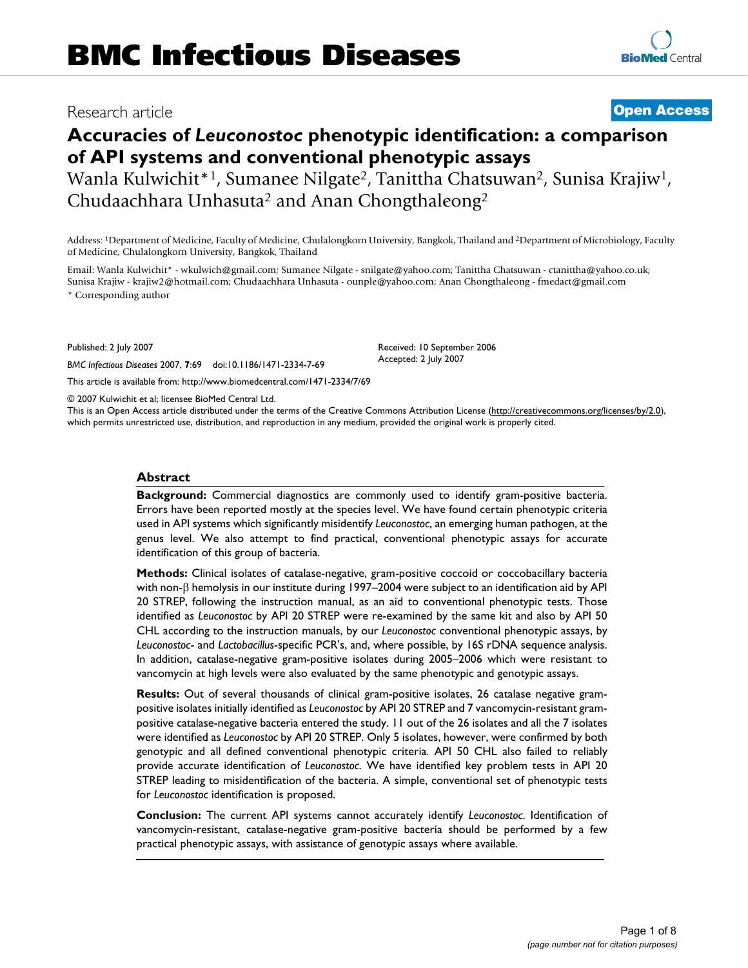## Research article **[Open Access](http://www.biomedcentral.com/info/about/charter/)**

# **[BioMed](http://www.biomedcentral.com/)** Central

# **Accuracies of** *Leuconostoc* **phenotypic identification: a comparison of API systems and conventional phenotypic assays**

Wanla Kulwichit<sup>\*1</sup>, Sumanee Nilgate<sup>2</sup>, Tanittha Chatsuwan<sup>2</sup>, Sunisa Krajiw<sup>1</sup>, Chudaachhara Unhasuta2 and Anan Chongthaleong2

Address: 1Department of Medicine, Faculty of Medicine, Chulalongkorn University, Bangkok, Thailand and 2Department of Microbiology, Faculty of Medicine, Chulalongkorn University, Bangkok, Thailand

Email: Wanla Kulwichit\* - wkulwich@gmail.com; Sumanee Nilgate - snilgate@yahoo.com; Tanittha Chatsuwan - ctanittha@yahoo.co.uk; Sunisa Krajiw - krajiw2@hotmail.com; Chudaachhara Unhasuta - ounple@yahoo.com; Anan Chongthaleong - fmedact@gmail.com

\* Corresponding author

Published: 2 July 2007

*BMC Infectious Diseases* 2007, **7**:69 doi:10.1186/1471-2334-7-69

[This article is available from: http://www.biomedcentral.com/1471-2334/7/69](http://www.biomedcentral.com/1471-2334/7/69)

© 2007 Kulwichit et al; licensee BioMed Central Ltd.

This is an Open Access article distributed under the terms of the Creative Commons Attribution License [\(http://creativecommons.org/licenses/by/2.0\)](http://creativecommons.org/licenses/by/2.0), which permits unrestricted use, distribution, and reproduction in any medium, provided the original work is properly cited.

Received: 10 September 2006 Accepted: 2 July 2007

#### **Abstract**

**Background:** Commercial diagnostics are commonly used to identify gram-positive bacteria. Errors have been reported mostly at the species level. We have found certain phenotypic criteria used in API systems which significantly misidentify *Leuconostoc*, an emerging human pathogen, at the genus level. We also attempt to find practical, conventional phenotypic assays for accurate identification of this group of bacteria.

**Methods:** Clinical isolates of catalase-negative, gram-positive coccoid or coccobacillary bacteria with non-β hemolysis in our institute during 1997–2004 were subject to an identification aid by API 20 STREP, following the instruction manual, as an aid to conventional phenotypic tests. Those identified as *Leuconostoc* by API 20 STREP were re-examined by the same kit and also by API 50 CHL according to the instruction manuals, by our *Leuconostoc* conventional phenotypic assays, by *Leuconostoc*- and *Lactobacillus*-specific PCR's, and, where possible, by 16S rDNA sequence analysis. In addition, catalase-negative gram-positive isolates during 2005–2006 which were resistant to vancomycin at high levels were also evaluated by the same phenotypic and genotypic assays.

**Results:** Out of several thousands of clinical gram-positive isolates, 26 catalase negative grampositive isolates initially identified as *Leuconostoc* by API 20 STREP and 7 vancomycin-resistant grampositive catalase-negative bacteria entered the study. 11 out of the 26 isolates and all the 7 isolates were identified as *Leuconostoc* by API 20 STREP. Only 5 isolates, however, were confirmed by both genotypic and all defined conventional phenotypic criteria. API 50 CHL also failed to reliably provide accurate identification of *Leuconostoc*. We have identified key problem tests in API 20 STREP leading to misidentification of the bacteria. A simple, conventional set of phenotypic tests for *Leuconostoc* identification is proposed.

**Conclusion:** The current API systems cannot accurately identify *Leuconostoc*. Identification of vancomycin-resistant, catalase-negative gram-positive bacteria should be performed by a few practical phenotypic assays, with assistance of genotypic assays where available.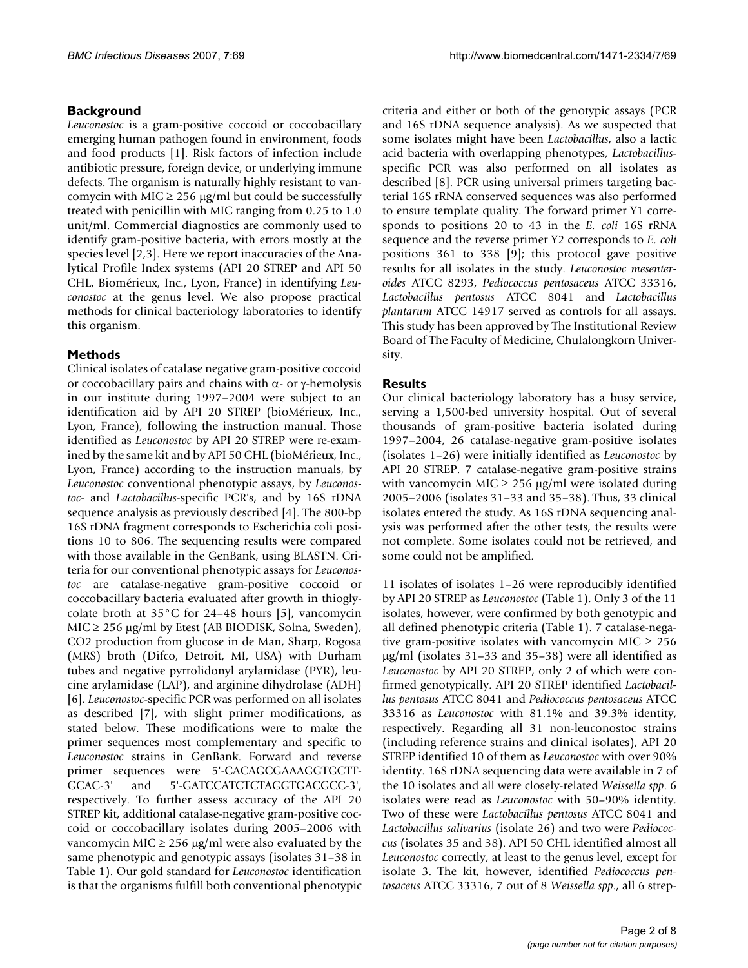#### **Background**

*Leuconostoc* is a gram-positive coccoid or coccobacillary emerging human pathogen found in environment, foods and food products [1]. Risk factors of infection include antibiotic pressure, foreign device, or underlying immune defects. The organism is naturally highly resistant to vancomycin with MIC  $\geq$  256 µg/ml but could be successfully treated with penicillin with MIC ranging from 0.25 to 1.0 unit/ml. Commercial diagnostics are commonly used to identify gram-positive bacteria, with errors mostly at the species level [2,3]. Here we report inaccuracies of the Analytical Profile Index systems (API 20 STREP and API 50 CHL, Biomérieux, Inc., Lyon, France) in identifying *Leuconostoc* at the genus level. We also propose practical methods for clinical bacteriology laboratories to identify this organism.

#### **Methods**

Clinical isolates of catalase negative gram-positive coccoid or coccobacillary pairs and chains with α- or γ-hemolysis in our institute during 1997–2004 were subject to an identification aid by API 20 STREP (bioMérieux, Inc., Lyon, France), following the instruction manual. Those identified as *Leuconostoc* by API 20 STREP were re-examined by the same kit and by API 50 CHL (bioMérieux, Inc., Lyon, France) according to the instruction manuals, by *Leuconostoc* conventional phenotypic assays, by *Leuconostoc*- and *Lactobacillus*-specific PCR's, and by 16S rDNA sequence analysis as previously described [4]. The 800-bp 16S rDNA fragment corresponds to Escherichia coli positions 10 to 806. The sequencing results were compared with those available in the GenBank, using BLASTN. Criteria for our conventional phenotypic assays for *Leuconostoc* are catalase-negative gram-positive coccoid or coccobacillary bacteria evaluated after growth in thioglycolate broth at 35°C for 24–48 hours [5], vancomycin  $MIC \geq 256 \mu g/ml$  by Etest (AB BIODISK, Solna, Sweden), CO2 production from glucose in de Man, Sharp, Rogosa (MRS) broth (Difco, Detroit, MI, USA) with Durham tubes and negative pyrrolidonyl arylamidase (PYR), leucine arylamidase (LAP), and arginine dihydrolase (ADH) [6]. *Leuconostoc*-specific PCR was performed on all isolates as described [7], with slight primer modifications, as stated below. These modifications were to make the primer sequences most complementary and specific to *Leuconostoc* strains in GenBank. Forward and reverse primer sequences were 5'-CACAGCGAAAGGTGCTT-GCAC-3' and 5'-GATCCATCTCTAGGTGACGCC-3', respectively. To further assess accuracy of the API 20 STREP kit, additional catalase-negative gram-positive coccoid or coccobacillary isolates during 2005–2006 with vancomycin MIC  $\geq$  256 µg/ml were also evaluated by the same phenotypic and genotypic assays (isolates 31–38 in Table 1). Our gold standard for *Leuconostoc* identification is that the organisms fulfill both conventional phenotypic criteria and either or both of the genotypic assays (PCR and 16S rDNA sequence analysis). As we suspected that some isolates might have been *Lactobacillus*, also a lactic acid bacteria with overlapping phenotypes, *Lactobacillus*specific PCR was also performed on all isolates as described [8]. PCR using universal primers targeting bacterial 16S rRNA conserved sequences was also performed to ensure template quality. The forward primer Y1 corresponds to positions 20 to 43 in the *E. coli* 16S rRNA sequence and the reverse primer Y2 corresponds to *E. coli* positions 361 to 338 [9]; this protocol gave positive results for all isolates in the study. *Leuconostoc mesenteroides* ATCC 8293, *Pediococcus pentosaceus* ATCC 33316, *Lactobacillus pentosus* ATCC 8041 and *Lactobacillus plantarum* ATCC 14917 served as controls for all assays. This study has been approved by The Institutional Review Board of The Faculty of Medicine, Chulalongkorn University.

### **Results**

Our clinical bacteriology laboratory has a busy service, serving a 1,500-bed university hospital. Out of several thousands of gram-positive bacteria isolated during 1997–2004, 26 catalase-negative gram-positive isolates (isolates 1–26) were initially identified as *Leuconostoc* by API 20 STREP. 7 catalase-negative gram-positive strains with vancomycin MIC  $\geq$  256 µg/ml were isolated during 2005–2006 (isolates 31–33 and 35–38). Thus, 33 clinical isolates entered the study. As 16S rDNA sequencing analysis was performed after the other tests, the results were not complete. Some isolates could not be retrieved, and some could not be amplified.

11 isolates of isolates 1–26 were reproducibly identified by API 20 STREP as *Leuconostoc* (Table 1). Only 3 of the 11 isolates, however, were confirmed by both genotypic and all defined phenotypic criteria (Table 1). 7 catalase-negative gram-positive isolates with vancomycin MIC  $\geq 256$ µg/ml (isolates 31–33 and 35–38) were all identified as *Leuconostoc* by API 20 STREP, only 2 of which were confirmed genotypically. API 20 STREP identified *Lactobacillus pentosus* ATCC 8041 and *Pediococcus pentosaceus* ATCC 33316 as *Leuconostoc* with 81.1% and 39.3% identity, respectively. Regarding all 31 non-leuconostoc strains (including reference strains and clinical isolates), API 20 STREP identified 10 of them as *Leuconostoc* with over 90% identity. 16S rDNA sequencing data were available in 7 of the 10 isolates and all were closely-related *Weissella spp*. 6 isolates were read as *Leuconostoc* with 50–90% identity. Two of these were *Lactobacillus pentosus* ATCC 8041 and *Lactobacillus salivarius* (isolate 26) and two were *Pediococcus* (isolates 35 and 38). API 50 CHL identified almost all *Leuconostoc* correctly, at least to the genus level, except for isolate 3. The kit, however, identified *Pediococcus pentosaceus* ATCC 33316, 7 out of 8 *Weissella spp*., all 6 strep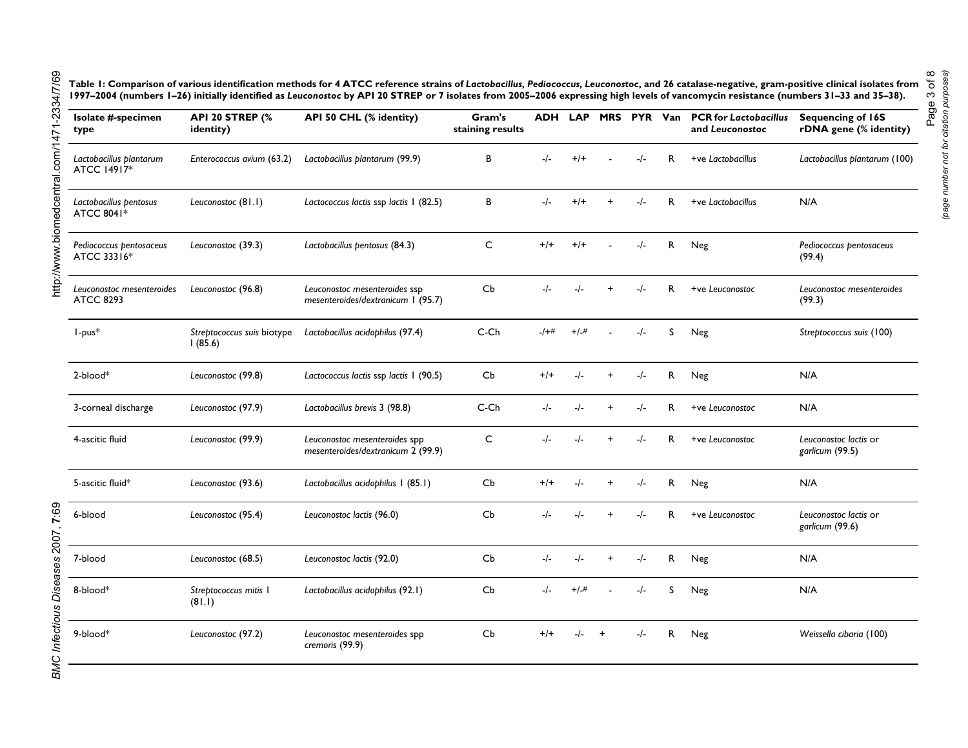Table 1: Comparison of various identification methods for 4 ATCC reference strains of Lactobacillus, Pediococcus, Leuconostoc, and 26 catalase-negative, gram-positive clinical isolates from **1997–2004 (numbers 1–26) initially identified as** *Leuconostoc* **by API 20 STREP or 7 isolates from 2005–2006 expressing high levels of vancomycin resistance (numbers 31–33 and 35–38).**

| Isolate #-specimen<br>type                    | <b>API 20 STREP (%</b><br>identity)   | API 50 CHL (% identity)                                             | Gram's<br>staining results | <b>ADH LAP</b> |         |           | MRS PYR Van |    | <b>PCR</b> for Lactobacillus<br>and Leuconostoc | Sequencing of 16S<br>rDNA gene (% identity) |
|-----------------------------------------------|---------------------------------------|---------------------------------------------------------------------|----------------------------|----------------|---------|-----------|-------------|----|-------------------------------------------------|---------------------------------------------|
| Lactobacillus plantarum<br>ATCC 14917*        | Enterococcus avium (63.2)             | Lactobacillus plantarum (99.9)                                      | В                          | $-/-$          | $+/+$   |           | $-/-$       | R  | +ve Lactobacillus                               | Lactobacillus plantarum (100)               |
| Lactobacillus pentosus<br>ATCC 8041*          | Leuconostoc (81.1)                    | Lactococcus lactis ssp lactis 1 (82.5)                              | В                          | $-/-$          | $+/+$   |           | $-/-$       | R. | +ve Lactobacillus                               | N/A                                         |
| Pediococcus pentosaceus<br>ATCC 33316*        | Leuconostoc (39.3)                    | Lactobacillus pentosus (84.3)                                       | $\mathsf C$                | $+/-$          | $+/+$   |           | $-/-$       | R  | Neg                                             | Pediococcus pentosaceus<br>(99.4)           |
| Leuconostoc mesenteroides<br><b>ATCC 8293</b> | Leuconostoc (96.8)                    | Leuconostoc mesenteroides ssp<br>mesenteroides/dextranicum 1 (95.7) | Cb                         | $-/-$          | $-/-$   | $+$       | $-/-$       | R. | +ve Leuconostoc                                 | Leuconostoc mesenteroides<br>(99.3)         |
| $l$ -pus $*$                                  | Streptococcus suis biotype<br>1(85.6) | Lactobacillus acidophilus (97.4)                                    | C-Ch                       | $-1+$          | $+/-#$  |           | $-/-$       | S  | Neg                                             | Streptococcus suis (100)                    |
| $2$ -blood $*$                                | Leuconostoc (99.8)                    | Lactococcus lactis ssp lactis 1 (90.5)                              | Cb                         | $+/+$          |         |           | $-/-$       | R  | Neg                                             | N/A                                         |
| 3-corneal discharge                           | Leuconostoc (97.9)                    | Lactobacillus brevis 3 (98.8)                                       | C-Ch                       | -/-            | $-I -$  |           | $-/-$       | R. | +ve Leuconostoc                                 | N/A                                         |
| 4-ascitic fluid                               | Leuconostoc (99.9)                    | Leuconostoc mesenteroides spp<br>mesenteroides/dextranicum 2 (99.9) | C                          | $-/-$          | $-/-$   | $\ddot{}$ | $-/-$       | R. | +ve Leuconostoc                                 | Leuconostoc lactis or<br>garlicum (99.5)    |
| 5-ascitic fluid*                              | Leuconostoc (93.6)                    | Lactobacillus acidophilus I (85.1)                                  | Cb                         | $+/-$          | $-/-$   | $\ddot{}$ | $-/-$       | R  | Neg                                             | N/A                                         |
| 6-blood                                       | Leuconostoc (95.4)                    | Leuconostoc lactis (96.0)                                           | Cb                         | $-/-$          | $-/-$   | $\ddot{}$ | $-/-$       | R. | +ve Leuconostoc                                 | Leuconostoc lactis or<br>garlicum (99.6)    |
| 7-blood                                       | Leuconostoc (68.5)                    | Leuconostoc lactis (92.0)                                           | Cb                         | $-/-$          | $-/-$   |           | $-/-$       | R  | Neg                                             | N/A                                         |
| 8-blood*                                      | Streptococcus mitis I<br>(81.1)       | Lactobacillus acidophilus (92.1)                                    | Cb                         | $-/-$          | $+/-#$  |           | $-/-$       | S  | Neg                                             | N/A                                         |
| 9-blood*                                      | Leuconostoc (97.2)                    | Leuconostoc mesenteroides spp<br>cremoris (99.9)                    | Cb                         | $+/-$          | $-/- +$ |           | $-/-$       | R. | Neg                                             | Weissella cibaria (100)                     |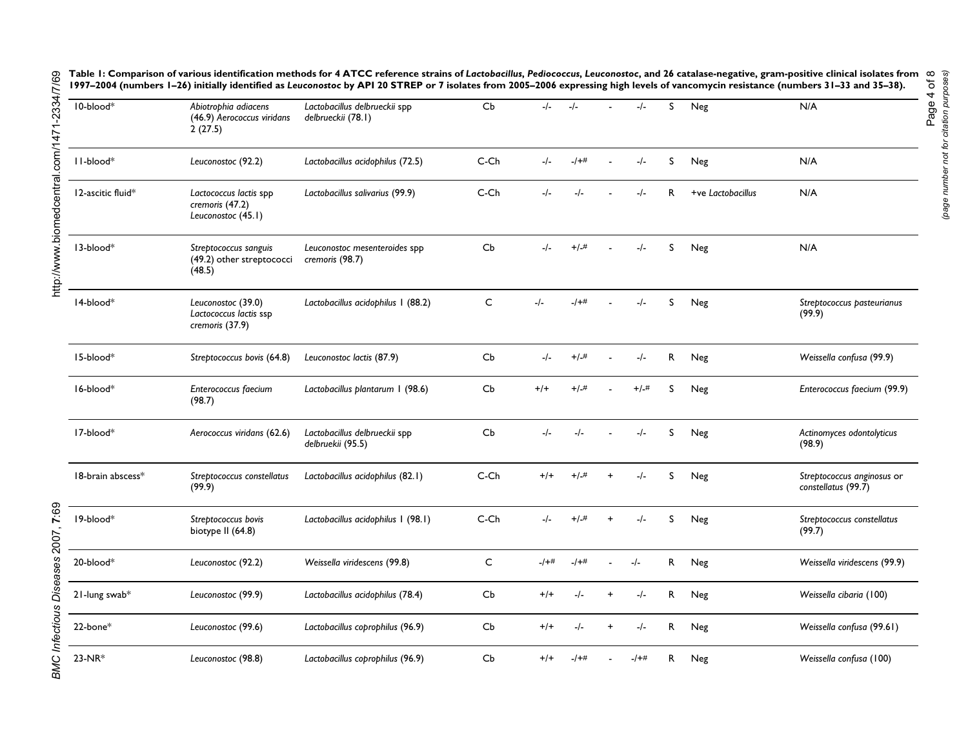| 10-blood*         | Abiotrophia adiacens<br>(46.9) Aerococcus viridans<br>2(27.5)   | Lactobacillus delbrueckii spp<br>delbrueckii (78.1) | Cb           | $-/-$   | $-/-$   |           | $-I -$  | S  | Neg               | N/A                                               |
|-------------------|-----------------------------------------------------------------|-----------------------------------------------------|--------------|---------|---------|-----------|---------|----|-------------------|---------------------------------------------------|
| II-blood*         | Leuconostoc (92.2)                                              | Lactobacillus acidophilus (72.5)                    | $C$ - $Ch$   | $-/-$   | $-1+$   |           | $-/-$   | S  | Neg               | N/A                                               |
| 12-ascitic fluid* | Lactococcus lactis spp<br>cremoris (47.2)<br>Leuconostoc (45.1) | Lactobacillus salivarius (99.9)                     | $C$ - $Ch$   | -/-     |         |           | $-l-$   | R  | +ve Lactobacillus | N/A                                               |
| 13-blood*         | Streptococcus sanguis<br>(49.2) other streptococci<br>(48.5)    | Leuconostoc mesenteroides spp<br>cremoris (98.7)    | Cb           | $-/-$   | $+/-$ # |           | $-/-$   | S  | Neg               | N/A                                               |
| 14-blood*         | Leuconostoc (39.0)<br>Lactococcus lactis ssp<br>cremoris (37.9) | Lactobacillus acidophilus 1 (88.2)                  | C            | $-/-$   | $-1+$   |           | $-/-$   | S  | Neg               | Streptococcus pasteurianus<br>(99.9)              |
| 15-blood*         | Streptococcus bovis (64.8)                                      | Leuconostoc lactis (87.9)                           | Cb           | $-I -$  | $+/-$ # |           | $-/-$   | R  | Neg               | Weissella confusa (99.9)                          |
| 16-blood*         | Enterococcus faecium<br>(98.7)                                  | Lactobacillus plantarum 1 (98.6)                    | Cb           | $+ / +$ | $+/-#$  |           | $+/-$ # | S  | Neg               | Enterococcus faecium (99.9)                       |
| 17-blood*         | Aerococcus viridans (62.6)                                      | Lactobacillus delbrueckii spp<br>delbruekii (95.5)  | Cb           | $-I -$  | $-/-$   |           | $-/-$   | S  | Neg               | Actinomyces odontolyticus<br>(98.9)               |
| 18-brain abscess* | Streptococcus constellatus<br>(99.9)                            | Lactobacillus acidophilus (82.1)                    | $C$ - $Ch$   | $+/+$   | $+/-#$  | $\ddot{}$ | $-/-$   | S  | Neg               | Streptococcus anginosus or<br>constellatus (99.7) |
| 19-blood*         | Streptococcus bovis<br>biotype II (64.8)                        | Lactobacillus acidophilus I (98.1)                  | $C$ - $Ch$   | -/-     | $+/-$ # |           | -/-     | S  | Neg               | Streptococcus constellatus<br>(99.7)              |
| 20-blood*         | Leuconostoc (92.2)                                              | Weissella viridescens (99.8)                        | $\mathsf{C}$ | $-1+$   | $-1+$ # |           | $-/-$   | R. | Neg               | Weissella viridescens (99.9)                      |
| 21-lung swab*     | Leuconostoc (99.9)                                              | Lactobacillus acidophilus (78.4)                    | Cb           | $+ / +$ | $-I -$  |           | $-/-$   | R  | Neg               | Weissella cibaria (100)                           |
| $22$ -bone $*$    | Leuconostoc (99.6)                                              | Lactobacillus coprophilus (96.9)                    | Cb           | $+/-$   | -/-     | $\ddot{}$ | $-/-$   | R. | Neg               | Weissella confusa (99.61)                         |
| 23-NR*            | Leuconostoc (98.8)                                              | Lactobacillus coprophilus (96.9)                    | Cb           | $+/+$   | -/+#    |           | -/+#    | R. | Neg               | Weissella confusa (100)                           |

Table 1: Comparison of various identification methods for 4 ATCC reference strains of Lactobacillus, Pediococcus, Leuconostoc, and 26 catalase-negative, gram-positive clinical isolates from **1997–2004 (numbers 1–26) initially identified as** *Leuconostoc* **by API 20 STREP or 7 isolates from 2005–2006 expressing high levels of vancomycin resistance (numbers 31–33 and 35–38).**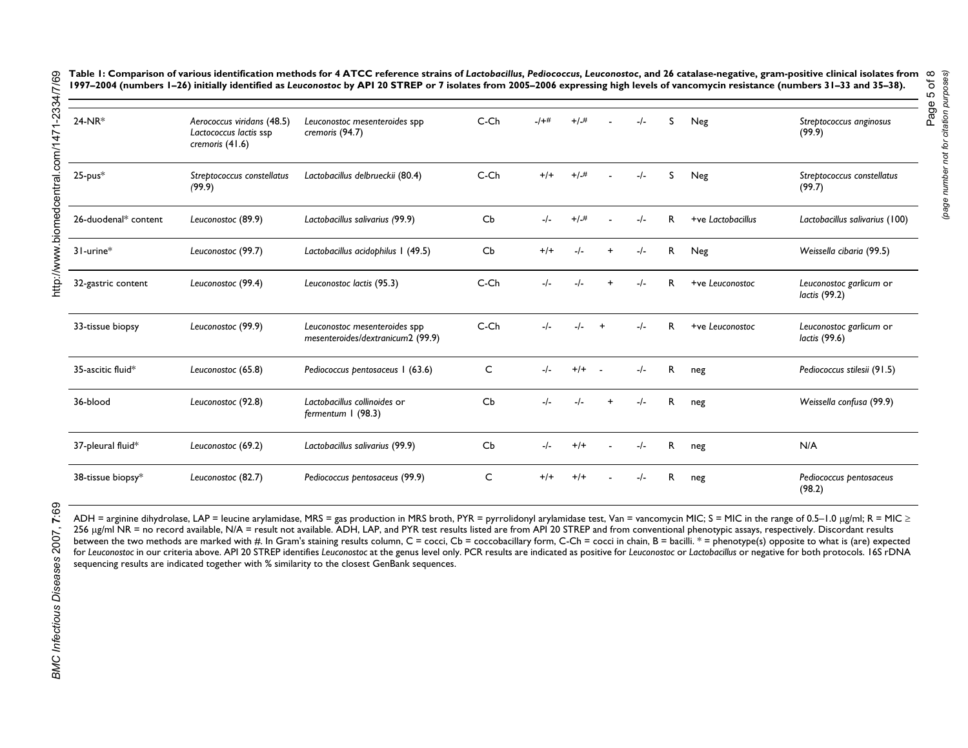Table 1: Comparison of various identification methods for 4 ATCC reference strains of Lactobacillus, Pediococcus, Leuconostoc, and 26 catalase-negative, gram-positive clinical isolates from **1997–2004 (numbers 1–26) initially identified as** *Leuconostoc* **by API 20 STREP or 7 isolates from 2005–2006 expressing high levels of vancomycin resistance (numbers 31–33 and 35–38).**

| $24-NR*$             | Aerococcus viridans (48.5)<br>Lactococcus lactis ssp<br>cremoris (41.6) | Leuconostoc mesenteroides spp<br>cremoris (94.7)                   | $C$ - $Ch$ | -1+#  | $+/-#$  |            | $-I -$ | S            | Neg               | Streptococcus anginosus<br>(99.9)        |
|----------------------|-------------------------------------------------------------------------|--------------------------------------------------------------------|------------|-------|---------|------------|--------|--------------|-------------------|------------------------------------------|
| $25$ -pus $*$        | Streptococcus constellatus<br>(99.9)                                    | Lactobacillus delbrueckii (80.4)                                   | $C$ - $Ch$ | $+/-$ | $+/-$ # |            | $-I -$ | S            | Neg               | Streptococcus constellatus<br>(99.7)     |
| 26-duodenal* content | Leuconostoc (89.9)                                                      | Lactobacillus salivarius (99.9)                                    | Cb         |       | $+/-$ # |            | $-/-$  | R            | +ve Lactobacillus | Lactobacillus salivarius (100)           |
| $31$ -urine $*$      | Leuconostoc (99.7)                                                      | Lactobacillus acidophilus I (49.5)                                 | Cb         | $+/-$ |         |            | $-/-$  | R            | Neg               | Weissella cibaria (99.5)                 |
| 32-gastric content   | Leuconostoc (99.4)                                                      | Leuconostoc lactis (95.3)                                          | $C$ - $Ch$ |       |         |            |        | R            | +ve Leuconostoc   | Leuconostoc garlicum or<br>lactis (99.2) |
| 33-tissue biopsy     | Leuconostoc (99.9)                                                      | Leuconostoc mesenteroides spp<br>mesenteroides/dextranicum2 (99.9) | $C$ - $Ch$ |       |         |            | $-/-$  | $\mathsf{R}$ | +ve Leuconostoc   | Leuconostoc garlicum or<br>lactis (99.6) |
| 35-ascitic fluid*    | Leuconostoc (65.8)                                                      | Pediococcus pentosaceus 1 (63.6)                                   | C          |       | $+/+$   | $\sim$ $-$ | $-/-$  | R            | neg               | Pediococcus stilesii (91.5)              |
| 36-blood             | Leuconostoc (92.8)                                                      | Lactobacillus collinoides or<br>fermentum I (98.3)                 | Cb         |       |         |            | $-/-$  | R            | neg               | Weissella confusa (99.9)                 |
| 37-pleural fluid*    | Leuconostoc (69.2)                                                      | Lactobacillus salivarius (99.9)                                    | Cb         |       | $+/-$   |            | $-/-$  | R            | neg               | N/A                                      |
| 38-tissue biopsy*    | Leuconostoc (82.7)                                                      | Pediococcus pentosaceus (99.9)                                     | C          | $+/-$ | $+1$    |            |        | R            | neg               | Pediococcus pentosaceus<br>(98.2)        |

ADH = arginine dihydrolase, LAP = leucine arylamidase, MRS = gas production in MRS broth, PYR = pyrrolidonyl arylamidase test, Van = vancomycin MIC; S = MIC in the range of 0.5–1.0 µg/ml; R = MIC ≥ 256 ug/ml NR = no record available, N/A = result not available. ADH, LAP, and PYR test results listed are from API 20 STREP and from conventional phenotypic assays, respectively. Discordant results between the two methods are marked with #. In Gram's staining results column, C = cocci, Cb = coccobacillary form, C-Ch = cocci in chain, B = bacilli. \* = phenotype(s) opposite to what is (are) expected for Leuconostoc in our criteria above. API 20 STREP identifies Leuconostoc at the genus level only. PCR results are indicated as positive for Leuconostoc or Lactobacillus or negative for both protocols. 16S rDNA sequencing results are indicated together with % similarity to the closest GenBank sequences.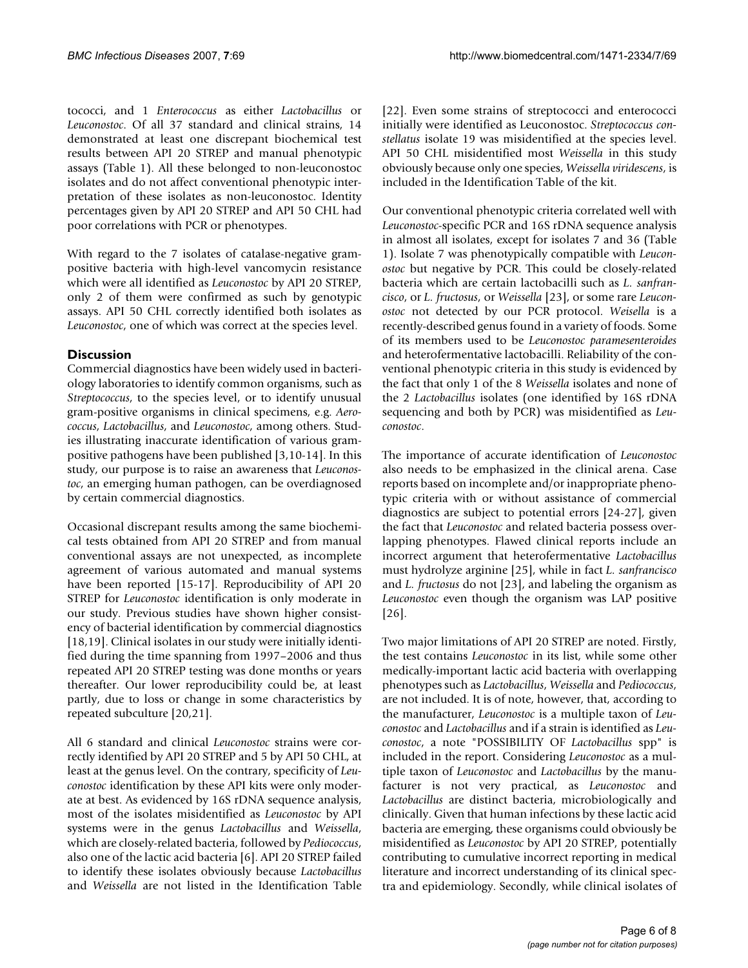tococci, and 1 *Enterococcus* as either *Lactobacillus* or *Leuconostoc*. Of all 37 standard and clinical strains, 14 demonstrated at least one discrepant biochemical test results between API 20 STREP and manual phenotypic assays (Table 1). All these belonged to non-leuconostoc isolates and do not affect conventional phenotypic interpretation of these isolates as non-leuconostoc. Identity percentages given by API 20 STREP and API 50 CHL had poor correlations with PCR or phenotypes.

With regard to the 7 isolates of catalase-negative grampositive bacteria with high-level vancomycin resistance which were all identified as *Leuconostoc* by API 20 STREP, only 2 of them were confirmed as such by genotypic assays. API 50 CHL correctly identified both isolates as *Leuconostoc*, one of which was correct at the species level.

#### **Discussion**

Commercial diagnostics have been widely used in bacteriology laboratories to identify common organisms, such as *Streptococcus*, to the species level, or to identify unusual gram-positive organisms in clinical specimens, e.g. *Aerococcus*, *Lactobacillus*, and *Leuconostoc*, among others. Studies illustrating inaccurate identification of various grampositive pathogens have been published [3,10-14]. In this study, our purpose is to raise an awareness that *Leuconostoc*, an emerging human pathogen, can be overdiagnosed by certain commercial diagnostics.

Occasional discrepant results among the same biochemical tests obtained from API 20 STREP and from manual conventional assays are not unexpected, as incomplete agreement of various automated and manual systems have been reported [15-17]. Reproducibility of API 20 STREP for *Leuconostoc* identification is only moderate in our study. Previous studies have shown higher consistency of bacterial identification by commercial diagnostics [18,19]. Clinical isolates in our study were initially identified during the time spanning from 1997–2006 and thus repeated API 20 STREP testing was done months or years thereafter. Our lower reproducibility could be, at least partly, due to loss or change in some characteristics by repeated subculture [[20](#page-7-0),[21\]](#page-7-1).

All 6 standard and clinical *Leuconostoc* strains were correctly identified by API 20 STREP and 5 by API 50 CHL, at least at the genus level. On the contrary, specificity of *Leuconostoc* identification by these API kits were only moderate at best. As evidenced by 16S rDNA sequence analysis, most of the isolates misidentified as *Leuconostoc* by API systems were in the genus *Lactobacillus* and *Weissella*, which are closely-related bacteria, followed by *Pediococcus*, also one of the lactic acid bacteria [6]. API 20 STREP failed to identify these isolates obviously because *Lactobacillus* and *Weissella* are not listed in the Identification Table [22]. Even some strains of streptococci and enterococci initially were identified as Leuconostoc. *Streptococcus constellatus* isolate 19 was misidentified at the species level. API 50 CHL misidentified most *Weissella* in this study obviously because only one species, *Weissella viridescens*, is included in the Identification Table of the kit.

Our conventional phenotypic criteria correlated well with *Leuconostoc*-specific PCR and 16S rDNA sequence analysis in almost all isolates, except for isolates 7 and 36 (Table 1). Isolate 7 was phenotypically compatible with *Leuconostoc* but negative by PCR. This could be closely-related bacteria which are certain lactobacilli such as *L. sanfrancisco*, or *L. fructosus*, or *Weissella* [23], or some rare *Leuconostoc* not detected by our PCR protocol. *Weisella* is a recently-described genus found in a variety of foods. Some of its members used to be *Leuconostoc paramesenteroides* and heterofermentative lactobacilli. Reliability of the conventional phenotypic criteria in this study is evidenced by the fact that only 1 of the 8 *Weissella* isolates and none of the 2 *Lactobacillus* isolates (one identified by 16S rDNA sequencing and both by PCR) was misidentified as *Leuconostoc*.

The importance of accurate identification of *Leuconostoc* also needs to be emphasized in the clinical arena. Case reports based on incomplete and/or inappropriate phenotypic criteria with or without assistance of commercial diagnostics are subject to potential errors [24-27], given the fact that *Leuconostoc* and related bacteria possess overlapping phenotypes. Flawed clinical reports include an incorrect argument that heterofermentative *Lactobacillus* must hydrolyze arginine [25], while in fact *L. sanfrancisco* and *L. fructosus* do not [23], and labeling the organism as *Leuconostoc* even though the organism was LAP positive [26].

Two major limitations of API 20 STREP are noted. Firstly, the test contains *Leuconostoc* in its list, while some other medically-important lactic acid bacteria with overlapping phenotypes such as *Lactobacillus*, *Weissella* and *Pediococcus*, are not included. It is of note, however, that, according to the manufacturer, *Leuconostoc* is a multiple taxon of *Leuconostoc* and *Lactobacillus* and if a strain is identified as *Leuconostoc*, a note "POSSIBILITY OF *Lactobacillus* spp" is included in the report. Considering *Leuconostoc* as a multiple taxon of *Leuconostoc* and *Lactobacillus* by the manufacturer is not very practical, as *Leuconostoc* and *Lactobacillus* are distinct bacteria, microbiologically and clinically. Given that human infections by these lactic acid bacteria are emerging, these organisms could obviously be misidentified as *Leuconostoc* by API 20 STREP, potentially contributing to cumulative incorrect reporting in medical literature and incorrect understanding of its clinical spectra and epidemiology. Secondly, while clinical isolates of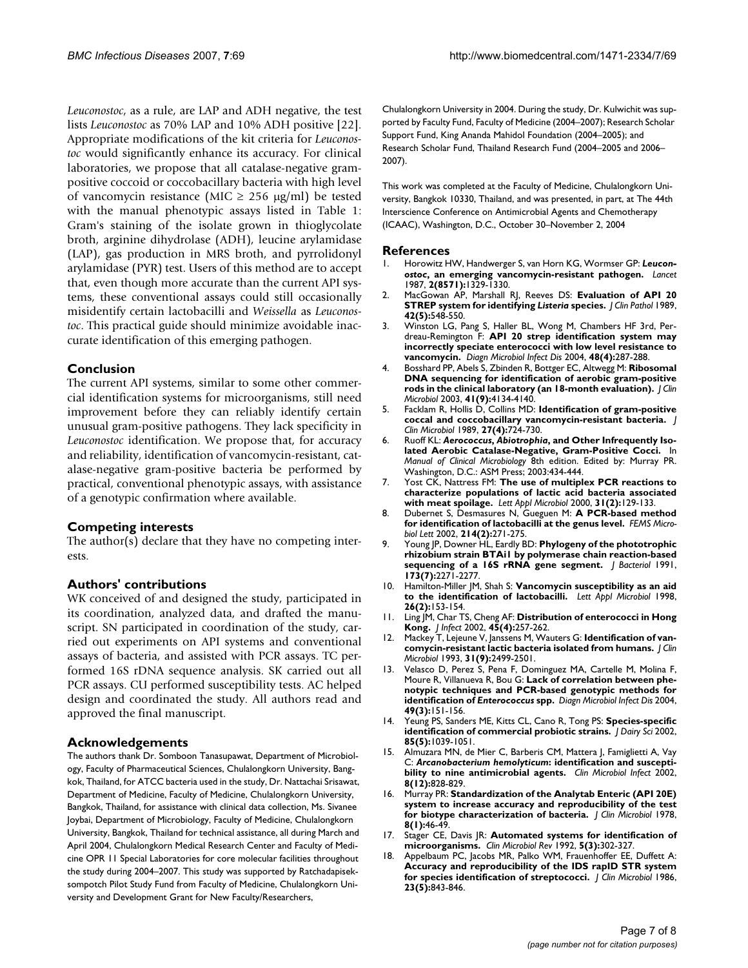*Leuconostoc*, as a rule, are LAP and ADH negative, the test lists *Leuconostoc* as 70% LAP and 10% ADH positive [22]. Appropriate modifications of the kit criteria for *Leuconostoc* would significantly enhance its accuracy. For clinical laboratories, we propose that all catalase-negative grampositive coccoid or coccobacillary bacteria with high level of vancomycin resistance (MIC  $\geq$  256 µg/ml) be tested with the manual phenotypic assays listed in Table 1: Gram's staining of the isolate grown in thioglycolate broth, arginine dihydrolase (ADH), leucine arylamidase (LAP), gas production in MRS broth, and pyrrolidonyl arylamidase (PYR) test. Users of this method are to accept that, even though more accurate than the current API systems, these conventional assays could still occasionally misidentify certain lactobacilli and *Weissella* as *Leuconostoc*. This practical guide should minimize avoidable inaccurate identification of this emerging pathogen.

#### **Conclusion**

The current API systems, similar to some other commercial identification systems for microorganisms, still need improvement before they can reliably identify certain unusual gram-positive pathogens. They lack specificity in *Leuconostoc* identification. We propose that, for accuracy and reliability, identification of vancomycin-resistant, catalase-negative gram-positive bacteria be performed by practical, conventional phenotypic assays, with assistance of a genotypic confirmation where available.

#### **Competing interests**

The author(s) declare that they have no competing interests.

#### **Authors' contributions**

WK conceived of and designed the study, participated in its coordination, analyzed data, and drafted the manuscript. SN participated in coordination of the study, carried out experiments on API systems and conventional assays of bacteria, and assisted with PCR assays. TC performed 16S rDNA sequence analysis. SK carried out all PCR assays. CU performed susceptibility tests. AC helped design and coordinated the study. All authors read and approved the final manuscript.

#### **Acknowledgements**

The authors thank Dr. Somboon Tanasupawat, Department of Microbiology, Faculty of Pharmaceutical Sciences, Chulalongkorn University, Bangkok, Thailand, for ATCC bacteria used in the study, Dr. Nattachai Srisawat, Department of Medicine, Faculty of Medicine, Chulalongkorn University, Bangkok, Thailand, for assistance with clinical data collection, Ms. Sivanee Joybai, Department of Microbiology, Faculty of Medicine, Chulalongkorn University, Bangkok, Thailand for technical assistance, all during March and April 2004, Chulalongkorn Medical Research Center and Faculty of Medicine OPR 11 Special Laboratories for core molecular facilities throughout the study during 2004–2007. This study was supported by Ratchadapiseksompotch Pilot Study Fund from Faculty of Medicine, Chulalongkorn University and Development Grant for New Faculty/Researchers,

Chulalongkorn University in 2004. During the study, Dr. Kulwichit was supported by Faculty Fund, Faculty of Medicine (2004–2007); Research Scholar Support Fund, King Ananda Mahidol Foundation (2004–2005); and Research Scholar Fund, Thailand Research Fund (2004–2005 and 2006– 2007).

This work was completed at the Faculty of Medicine, Chulalongkorn University, Bangkok 10330, Thailand, and was presented, in part, at The 44th Interscience Conference on Antimicrobial Agents and Chemotherapy (ICAAC), Washington, D.C., October 30–November 2, 2004

#### **References**

- 1. Horowitz HW, Handwerger S, van Horn KG, Wormser GP: *Leuconostoc***[, an emerging vancomycin-resistant pathogen.](http://www.ncbi.nlm.nih.gov/entrez/query.fcgi?cmd=Retrieve&db=PubMed&dopt=Abstract&list_uids=2890924)** *Lancet* 1987, **2(8571):**1329-1330.
- 2. MacGowan AP, Marshall RJ, Reeves DS: **Evaluation of API 20 STREP system for identifying** *Listeria* **[species.](http://www.ncbi.nlm.nih.gov/entrez/query.fcgi?cmd=Retrieve&db=PubMed&dopt=Abstract&list_uids=2499610)** *J Clin Pathol* 1989, **42(5):**548-550.
- 3. Winston LG, Pang S, Haller BL, Wong M, Chambers HF 3rd, Perdreau-Remington F: **[API 20 strep identification system may](http://www.ncbi.nlm.nih.gov/entrez/query.fcgi?cmd=Retrieve&db=PubMed&dopt=Abstract&list_uids=15062923) [incorrectly speciate enterococci with low level resistance to](http://www.ncbi.nlm.nih.gov/entrez/query.fcgi?cmd=Retrieve&db=PubMed&dopt=Abstract&list_uids=15062923) [vancomycin.](http://www.ncbi.nlm.nih.gov/entrez/query.fcgi?cmd=Retrieve&db=PubMed&dopt=Abstract&list_uids=15062923)** *Diagn Microbiol Infect Dis* 2004, **48(4):**287-288.
- 4. Bosshard PP, Abels S, Zbinden R, Bottger EC, Altwegg M: **[Ribosomal](http://www.ncbi.nlm.nih.gov/entrez/query.fcgi?cmd=Retrieve&db=PubMed&dopt=Abstract&list_uids=12958237) [DNA sequencing for identification of aerobic gram-positive](http://www.ncbi.nlm.nih.gov/entrez/query.fcgi?cmd=Retrieve&db=PubMed&dopt=Abstract&list_uids=12958237) [rods in the clinical laboratory \(an 18-month evaluation\).](http://www.ncbi.nlm.nih.gov/entrez/query.fcgi?cmd=Retrieve&db=PubMed&dopt=Abstract&list_uids=12958237)** *J Clin Microbiol* 2003, **41(9):**4134-4140.
- 5. Facklam R, Hollis D, Collins MD: **[Identification of gram-positive](http://www.ncbi.nlm.nih.gov/entrez/query.fcgi?cmd=Retrieve&db=PubMed&dopt=Abstract&list_uids=2723037) [coccal and coccobacillary vancomycin-resistant bacteria.](http://www.ncbi.nlm.nih.gov/entrez/query.fcgi?cmd=Retrieve&db=PubMed&dopt=Abstract&list_uids=2723037)** *J Clin Microbiol* 1989, **27(4):**724-730.
- 6. Ruoff KL: *Aerococcus***,** *Abiotrophia***, and Other Infrequently Isolated Aerobic Catalase-Negative, Gram-Positive Cocci.** In *Manual of Clinical Microbiology* 8th edition. Edited by: Murray PR. Washington, D.C.: ASM Press; 2003:434-444.
- 7. Yost CK, Nattress FM: **[The use of multiplex PCR reactions to](http://www.ncbi.nlm.nih.gov/entrez/query.fcgi?cmd=Retrieve&db=PubMed&dopt=Abstract&list_uids=10972714) [characterize populations of lactic acid bacteria associated](http://www.ncbi.nlm.nih.gov/entrez/query.fcgi?cmd=Retrieve&db=PubMed&dopt=Abstract&list_uids=10972714) [with meat spoilage.](http://www.ncbi.nlm.nih.gov/entrez/query.fcgi?cmd=Retrieve&db=PubMed&dopt=Abstract&list_uids=10972714)** *Lett Appl Microbiol* 2000, **31(2):**129-133.
- 8. Dubernet S, Desmasures N, Gueguen M: **[A PCR-based method](http://www.ncbi.nlm.nih.gov/entrez/query.fcgi?cmd=Retrieve&db=PubMed&dopt=Abstract&list_uids=12351242) [for identification of lactobacilli at the genus level.](http://www.ncbi.nlm.nih.gov/entrez/query.fcgi?cmd=Retrieve&db=PubMed&dopt=Abstract&list_uids=12351242)** *FEMS Microbiol Lett* 2002, **214(2):**271-275.
- 9. Young JP, Downer HL, Eardly BD: **[Phylogeny of the phototrophic](http://www.ncbi.nlm.nih.gov/entrez/query.fcgi?cmd=Retrieve&db=PubMed&dopt=Abstract&list_uids=2007551) [rhizobium strain BTAi1 by polymerase chain reaction-based](http://www.ncbi.nlm.nih.gov/entrez/query.fcgi?cmd=Retrieve&db=PubMed&dopt=Abstract&list_uids=2007551) [sequencing of a 16S rRNA gene segment.](http://www.ncbi.nlm.nih.gov/entrez/query.fcgi?cmd=Retrieve&db=PubMed&dopt=Abstract&list_uids=2007551)** *J Bacteriol* 1991, **173(7):**2271-2277.
- 10. Hamilton-Miller JM, Shah S: **[Vancomycin susceptibility as an aid](http://www.ncbi.nlm.nih.gov/entrez/query.fcgi?cmd=Retrieve&db=PubMed&dopt=Abstract&list_uids=9569701) [to the identification of lactobacilli.](http://www.ncbi.nlm.nih.gov/entrez/query.fcgi?cmd=Retrieve&db=PubMed&dopt=Abstract&list_uids=9569701)** *Lett Appl Microbiol* 1998, **26(2):**153-154.
- 11. Ling JM, Char TS, Cheng AF: **[Distribution of enterococci in Hong](http://www.ncbi.nlm.nih.gov/entrez/query.fcgi?cmd=Retrieve&db=PubMed&dopt=Abstract&list_uids=12423614) [Kong.](http://www.ncbi.nlm.nih.gov/entrez/query.fcgi?cmd=Retrieve&db=PubMed&dopt=Abstract&list_uids=12423614)** *J Infect* 2002, **45(4):**257-262.
- 12. Mackey T, Lejeune V, Janssens M, Wauters G: **[Identification of van](http://www.ncbi.nlm.nih.gov/entrez/query.fcgi?cmd=Retrieve&db=PubMed&dopt=Abstract&list_uids=8408575)[comycin-resistant lactic bacteria isolated from humans.](http://www.ncbi.nlm.nih.gov/entrez/query.fcgi?cmd=Retrieve&db=PubMed&dopt=Abstract&list_uids=8408575)** *J Clin Microbiol* 1993, **31(9):**2499-2501.
- 13. Velasco D, Perez S, Pena F, Dominguez MA, Cartelle M, Molina F, Moure R, Villanueva R, Bou G: **Lack of correlation between phenotypic techniques and PCR-based genotypic methods for identification of** *Enterococcus* **[spp.](http://www.ncbi.nlm.nih.gov/entrez/query.fcgi?cmd=Retrieve&db=PubMed&dopt=Abstract&list_uids=15246503)** *Diagn Microbiol Infect Dis* 2004, **49(3):**151-156.
- 14. Yeung PS, Sanders ME, Kitts CL, Cano R, Tong PS: **[Species-specific](http://www.ncbi.nlm.nih.gov/entrez/query.fcgi?cmd=Retrieve&db=PubMed&dopt=Abstract&list_uids=12086037) [identification of commercial probiotic strains.](http://www.ncbi.nlm.nih.gov/entrez/query.fcgi?cmd=Retrieve&db=PubMed&dopt=Abstract&list_uids=12086037)** *J Dairy Sci* 2002, **85(5):**1039-1051.
- 15. Almuzara MN, de Mier C, Barberis CM, Mattera J, Famiglietti A, Vay C: *Arcanobacterium hemolyticum***[: identification and suscepti](http://www.ncbi.nlm.nih.gov/entrez/query.fcgi?cmd=Retrieve&db=PubMed&dopt=Abstract&list_uids=12519360)[bility to nine antimicrobial agents.](http://www.ncbi.nlm.nih.gov/entrez/query.fcgi?cmd=Retrieve&db=PubMed&dopt=Abstract&list_uids=12519360)** *Clin Microbiol Infect* 2002, **8(12):**828-829.
- 16. Murray PR: **[Standardization of the Analytab Enteric \(API 20E\)](http://www.ncbi.nlm.nih.gov/entrez/query.fcgi?cmd=Retrieve&db=PubMed&dopt=Abstract&list_uids=353072) [system to increase accuracy and reproducibility of the test](http://www.ncbi.nlm.nih.gov/entrez/query.fcgi?cmd=Retrieve&db=PubMed&dopt=Abstract&list_uids=353072) [for biotype characterization of bacteria.](http://www.ncbi.nlm.nih.gov/entrez/query.fcgi?cmd=Retrieve&db=PubMed&dopt=Abstract&list_uids=353072)** *J Clin Microbiol* 1978, **8(1):**46-49.
- Stager CE, Davis JR: **[Automated systems for identification of](http://www.ncbi.nlm.nih.gov/entrez/query.fcgi?cmd=Retrieve&db=PubMed&dopt=Abstract&list_uids=1498768) [microorganisms.](http://www.ncbi.nlm.nih.gov/entrez/query.fcgi?cmd=Retrieve&db=PubMed&dopt=Abstract&list_uids=1498768)** *Clin Microbiol Rev* 1992, **5(3):**302-327.
- Appelbaum PC, Jacobs MR, Palko WM, Frauenhoffer EE, Duffett A: **[Accuracy and reproducibility of the IDS rapID STR system](http://www.ncbi.nlm.nih.gov/entrez/query.fcgi?cmd=Retrieve&db=PubMed&dopt=Abstract&list_uids=3711271) [for species identification of streptococci.](http://www.ncbi.nlm.nih.gov/entrez/query.fcgi?cmd=Retrieve&db=PubMed&dopt=Abstract&list_uids=3711271)** *J Clin Microbiol* 1986, **23(5):**843-846.